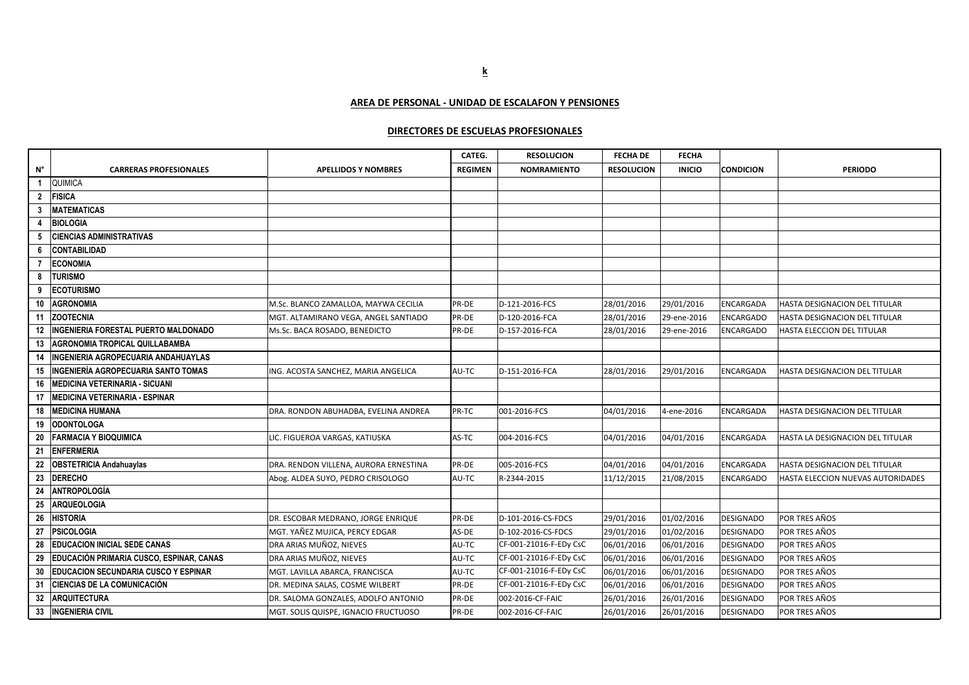**AREA DE PERSONAL - UNIDAD DE ESCALAFON Y PENSIONES**

## **DIRECTORES DE ESCUELAS PROFESIONALES**

|                |                                                 |                                       | CATEG.         | <b>RESOLUCION</b>      | <b>FECHA DE</b>   | <b>FECHA</b>  |                  |                                   |
|----------------|-------------------------------------------------|---------------------------------------|----------------|------------------------|-------------------|---------------|------------------|-----------------------------------|
| $N^{\circ}$    | <b>CARRERAS PROFESIONALES</b>                   | <b>APELLIDOS Y NOMBRES</b>            | <b>REGIMEN</b> | <b>NOMRAMIENTO</b>     | <b>RESOLUCION</b> | <b>INICIO</b> | <b>CONDICION</b> | <b>PERIODO</b>                    |
| $\overline{1}$ | <b>QUIMICA</b>                                  |                                       |                |                        |                   |               |                  |                                   |
| $\overline{2}$ | FISICA                                          |                                       |                |                        |                   |               |                  |                                   |
| $\mathbf{3}$   | <b>MATEMATICAS</b>                              |                                       |                |                        |                   |               |                  |                                   |
| 4              | <b>BIOLOGIA</b>                                 |                                       |                |                        |                   |               |                  |                                   |
| 5              | <b>CIENCIAS ADMINISTRATIVAS</b>                 |                                       |                |                        |                   |               |                  |                                   |
| 6              | <b>CONTABILIDAD</b>                             |                                       |                |                        |                   |               |                  |                                   |
| $\overline{7}$ | <b>ECONOMIA</b>                                 |                                       |                |                        |                   |               |                  |                                   |
| 8              | <b>TURISMO</b>                                  |                                       |                |                        |                   |               |                  |                                   |
| 9              | <b>ECOTURISMO</b>                               |                                       |                |                        |                   |               |                  |                                   |
| 10             | <b>AGRONOMIA</b>                                | M.Sc. BLANCO ZAMALLOA, MAYWA CECILIA  | PR-DE          | D-121-2016-FCS         | 28/01/2016        | 29/01/2016    | ENCARGADA        | HASTA DESIGNACION DEL TITULAR     |
| 11             | <b>ZOOTECNIA</b>                                | MGT. ALTAMIRANO VEGA, ANGEL SANTIADO  | PR-DE          | D-120-2016-FCA         | 28/01/2016        | 29-ene-2016   | ENCARGADO        | HASTA DESIGNACION DEL TITULAR     |
| 12             | INGENIERIA FORESTAL PUERTO MALDONADO            | Ms.Sc. BACA ROSADO, BENEDICTO         | PR-DE          | D-157-2016-FCA         | 28/01/2016        | 29-ene-2016   | <b>ENCARGADO</b> | HASTA ELECCION DEL TITULAR        |
| 13             | AGRONOMIA TROPICAL QUILLABAMBA                  |                                       |                |                        |                   |               |                  |                                   |
| 14             | INGENIERIA AGROPECUARIA ANDAHUAYLAS             |                                       |                |                        |                   |               |                  |                                   |
| 15             | INGENIERÍA AGROPECUARIA SANTO TOMAS             | ING. ACOSTA SANCHEZ, MARIA ANGELICA   | AU-TC          | D-151-2016-FCA         | 28/01/2016        | 29/01/2016    | ENCARGADA        | HASTA DESIGNACION DEL TITULAR     |
| 16             | <b>MEDICINA VETERINARIA - SICUANI</b>           |                                       |                |                        |                   |               |                  |                                   |
| 17             | <b>MEDICINA VETERINARIA - ESPINAR</b>           |                                       |                |                        |                   |               |                  |                                   |
| 18             | <b>MEDICINA HUMANA</b>                          | DRA. RONDON ABUHADBA, EVELINA ANDREA  | PR-TC          | 001-2016-FCS           | 04/01/2016        | 4-ene-2016    | ENCARGADA        | HASTA DESIGNACION DEL TITULAR     |
| 19             | <b>ODONTOLOGA</b>                               |                                       |                |                        |                   |               |                  |                                   |
| 20             | <b>FARMACIA Y BIOQUIMICA</b>                    | LIC. FIGUEROA VARGAS, KATIUSKA        | AS-TC          | 004-2016-FCS           | 04/01/2016        | 04/01/2016    | ENCARGADA        | HASTA LA DESIGNACION DEL TITULAR  |
| 21             | <b>ENFERMERIA</b>                               |                                       |                |                        |                   |               |                  |                                   |
| 22             | <b>OBSTETRICIA Andahuaylas</b>                  | DRA. RENDON VILLENA, AURORA ERNESTINA | PR-DE          | 005-2016-FCS           | 04/01/2016        | 04/01/2016    | ENCARGADA        | HASTA DESIGNACION DEL TITULAR     |
| 23             | <b>DERECHO</b>                                  | Abog. ALDEA SUYO, PEDRO CRISOLOGO     | AU-TC          | R-2344-2015            | 11/12/2015        | 21/08/2015    | <b>ENCARGADO</b> | HASTA ELECCION NUEVAS AUTORIDADES |
| 24             | <b>ANTROPOLOGÍA</b>                             |                                       |                |                        |                   |               |                  |                                   |
| 25             | <b>ARQUEOLOGIA</b>                              |                                       |                |                        |                   |               |                  |                                   |
| 26             | <b>HISTORIA</b>                                 | DR. ESCOBAR MEDRANO, JORGE ENRIQUE    | PR-DE          | D-101-2016-CS-FDCS     | 29/01/2016        | 01/02/2016    | <b>DESIGNADO</b> | <b>POR TRES AÑOS</b>              |
| 27             | <b>PSICOLOGIA</b>                               | MGT. YAÑEZ MUJICA, PERCY EDGAR        | AS-DE          | D-102-2016-CS-FDCS     | 29/01/2016        | 01/02/2016    | DESIGNADO        | <b>POR TRES AÑOS</b>              |
| 28             | <b>EDUCACION INICIAL SEDE CANAS</b>             | DRA ARIAS MUÑOZ, NIEVES               | AU-TC          | CF-001-21016-F-EDy CsC | 06/01/2016        | 06/01/2016    | DESIGNADO        | <b>POR TRES AÑOS</b>              |
| 29             | <b>EDUCACIÓN PRIMARIA CUSCO, ESPINAR, CANAS</b> | DRA ARIAS MUÑOZ, NIEVES               | AU-TC          | CF-001-21016-F-EDy CsC | 06/01/2016        | 06/01/2016    | DESIGNADO        | <b>POR TRES AÑOS</b>              |
| 30             | <b>EDUCACION SECUNDARIA CUSCO Y ESPINAR</b>     | MGT. LAVILLA ABARCA, FRANCISCA        | AU-TC          | CF-001-21016-F-EDy CsC | 06/01/2016        | 06/01/2016    | DESIGNADO        | POR TRES AÑOS                     |
| 31             | <b>CIENCIAS DE LA COMUNICACIÓN</b>              | DR. MEDINA SALAS, COSME WILBERT       | PR-DE          | CF-001-21016-F-EDy CsC | 06/01/2016        | 06/01/2016    | DESIGNADO        | <b>POR TRES AÑOS</b>              |
| 32             | <b>ARQUITECTURA</b>                             | DR. SALOMA GONZALES, ADOLFO ANTONIO   | PR-DE          | 002-2016-CF-FAIC       | 26/01/2016        | 26/01/2016    | DESIGNADO        | <b>POR TRES AÑOS</b>              |
| 33             | <b>INGENIERIA CIVIL</b>                         | MGT. SOLIS QUISPE, IGNACIO FRUCTUOSO  | PR-DE          | 002-2016-CF-FAIC       | 26/01/2016        | 26/01/2016    | DESIGNADO        | <b>POR TRES AÑOS</b>              |